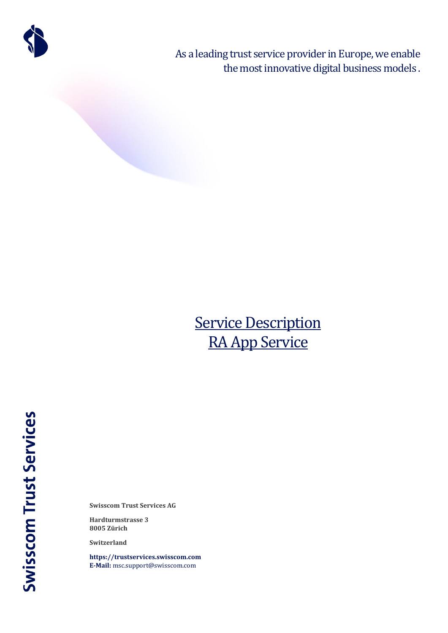

As a leading trust service provider in Europe, we enable the most innovative digital business models .

# **Service Description** RA App Service

**Swisscom Trust Services** 

**Swisscom Trust Services AG**

**Hardturmstrasse 3 8005 Zürich**

**Switzerland**

**[https://trustservices.swisscom.com](https://trustservices.swisscom.com/) E-Mail:** [msc.support@swisscom.com](mailto:msc.support@swisscom.com)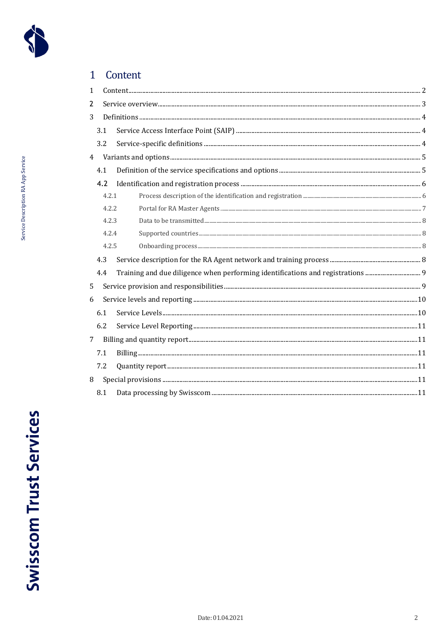

Service Description RA App Service

<span id="page-1-0"></span>

| 1              |       |  |
|----------------|-------|--|
| 2              |       |  |
| 3              |       |  |
|                | 3.1   |  |
|                | 3.2   |  |
| $\overline{4}$ |       |  |
|                | 4.1   |  |
|                | 4.2   |  |
|                | 4.2.1 |  |
|                | 4.2.2 |  |
|                | 4.2.3 |  |
|                | 4.2.4 |  |
|                | 4.2.5 |  |
|                | 4.3   |  |
|                | 4.4   |  |
| 5              |       |  |
| 6              |       |  |
|                | 6.1   |  |
|                | 6.2   |  |
| 7              |       |  |
|                | 7.1   |  |
|                | 7.2   |  |
| 8              |       |  |
|                | 8.1   |  |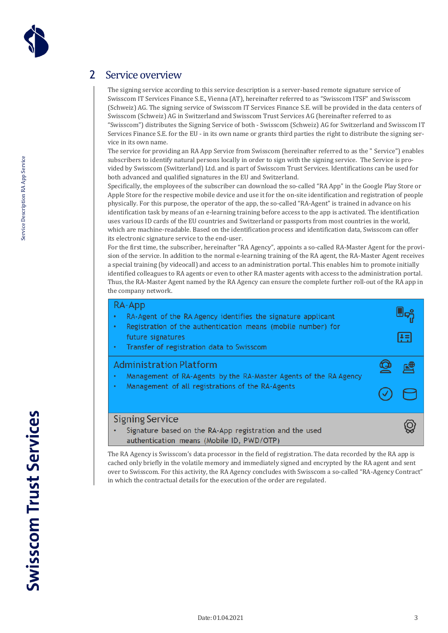

# <span id="page-2-0"></span>2 Service overview

The signing service according to this service description is a server-based remote signature service of Swisscom IT Services Finance S.E., Vienna (AT), hereinafter referred to as "Swisscom ITSF" and Swisscom (Schweiz) AG. The signing service of Swisscom IT Services Finance S.E. will be provided in the data centers of Swisscom (Schweiz) AG in Switzerland and Swisscom Trust Services AG (hereinafter referred to as "Swisscom") distributes the Signing Service of both - Swisscom (Schweiz) AG for Switzerland and Swisscom IT Services Finance S.E. for the EU - in its own name or grants third parties the right to distribute the signing service in its own name.

The service for providing an RA App Service from Swisscom (hereinafter referred to as the " Service") enables subscribers to identify natural persons locally in order to sign with the signing service. The Service is provided by Swisscom (Switzerland) Ltd. and is part of Swisscom Trust Services. Identifications can be used for both advanced and qualified signatures in the EU and Switzerland.

Specifically, the employees of the subscriber can download the so-called "RA App" in the Google Play Store or Apple Store for the respective mobile device and use it for the on-site identification and registration of people physically. For this purpose, the operator of the app, the so-called "RA-Agent" is trained in advance on his identification task by means of an e-learning training before access to the app is activated. The identification uses various ID cards of the EU countries and Switzerland or passports from most countries in the world, which are machine-readable. Based on the identification process and identification data, Swisscom can offer its electronic signature service to the end-user.

For the first time, the subscriber, hereinafter "RA Agency", appoints a so-called RA-Master Agent for the provision of the service. In addition to the normal e-learning training of the RA agent, the RA-Master Agent receives a special training (by videocall) and access to an administration portal. This enables him to promote initially identified colleagues to RA agents or even to other RA master agents with access to the administration portal. Thus, the RA-Master Agent named by the RA Agency can ensure the complete further roll-out of the RA app in the company network.

| RA-App<br>RA-Agent of the RA Agency identifies the signature applicant<br>Registration of the authentication means (mobile number) for<br>٠<br>future signatures<br>Transfer of registration data to Swisscom<br>٠ | Æ |
|--------------------------------------------------------------------------------------------------------------------------------------------------------------------------------------------------------------------|---|
| <b>Administration Platform</b><br>Management of RA-Agents by the RA-Master Agents of the RA Agency<br>٠<br>Management of all registrations of the RA-Agents<br>٠                                                   |   |
| <b>Signing Service</b><br>Signature based on the RA-App registration and the used<br>authentication means (Mobile ID, PWD/OTP)                                                                                     |   |

The RA Agency is Swisscom's data processor in the field of registration. The data recorded by the RA app is cached only briefly in the volatile memory and immediately signed and encrypted by the RA agent and sent over to Swisscom. For this activity, the RA Agency concludes with Swisscom a so-called "RA-Agency Contract" in which the contractual details for the execution of the order are regulated.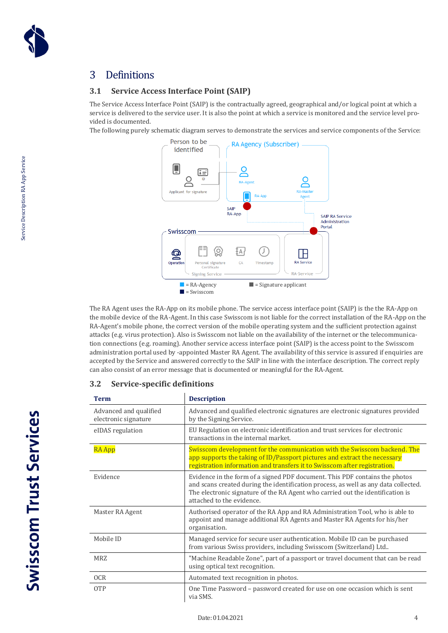

# <span id="page-3-0"></span>3 Definitions

#### <span id="page-3-1"></span>**3.1 Service Access Interface Point (SAIP)**

The Service Access Interface Point (SAIP) is the contractually agreed, geographical and/or logical point at which a service is delivered to the service user. It is also the point at which a service is monitored and the service level provided is documented.

The following purely schematic diagram serves to demonstrate the services and service components of the Service:



The RA Agent uses the RA-App on its mobile phone. The service access interface point (SAIP) is the the RA-App on the mobile device of the RA-Agent. In this case Swisscom is not liable for the correct installation of the RA-App on the RA-Agent's mobile phone, the correct version of the mobile operating system and the sufficient protection against attacks (e.g. virus protection). Also is Swisscom not liable on the availability of the internet or the telecommunication connections (e.g. roaming). Another service access interface point (SAIP) is the access point to the Swisscom administration portal used by -appointed Master RA Agent. The availability of this service is assured if enquiries are accepted by the Service and answered correctly to the SAIP in line with the interface description. The correct reply can also consist of an error message that is documented or meaningful for the RA-Agent.

#### <span id="page-3-2"></span>**3.2 Service-specific definitions**

| <b>Term</b>                                    | <b>Description</b>                                                                                                                                                                                                                                                                |
|------------------------------------------------|-----------------------------------------------------------------------------------------------------------------------------------------------------------------------------------------------------------------------------------------------------------------------------------|
| Advanced and qualified<br>electronic signature | Advanced and qualified electronic signatures are electronic signatures provided<br>by the Signing Service.                                                                                                                                                                        |
| eIDAS regulation                               | EU Regulation on electronic identification and trust services for electronic<br>transactions in the internal market.                                                                                                                                                              |
| <b>RA App</b>                                  | Swisscom development for the communication with the Swisscom backend. The<br>app supports the taking of ID/Passport pictures and extract the necessary<br>registration information and transfers it to Swisscom after registration.                                               |
| Evidence                                       | Evidence in the form of a signed PDF document. This PDF contains the photos<br>and scans created during the identification process, as well as any data collected.<br>The electronic signature of the RA Agent who carried out the identification is<br>attached to the evidence. |
| Master RA Agent                                | Authorised operator of the RA App and RA Administration Tool, who is able to<br>appoint and manage additional RA Agents and Master RA Agents for his/her<br>organisation.                                                                                                         |
| Mobile ID                                      | Managed service for secure user authentication. Mobile ID can be purchased<br>from various Swiss providers, including Swisscom (Switzerland) Ltd                                                                                                                                  |
| <b>MRZ</b>                                     | "Machine Readable Zone", part of a passport or travel document that can be read<br>using optical text recognition.                                                                                                                                                                |
| <b>OCR</b>                                     | Automated text recognition in photos.                                                                                                                                                                                                                                             |
| <b>OTP</b>                                     | One Time Password - password created for use on one occasion which is sent<br>via SMS.                                                                                                                                                                                            |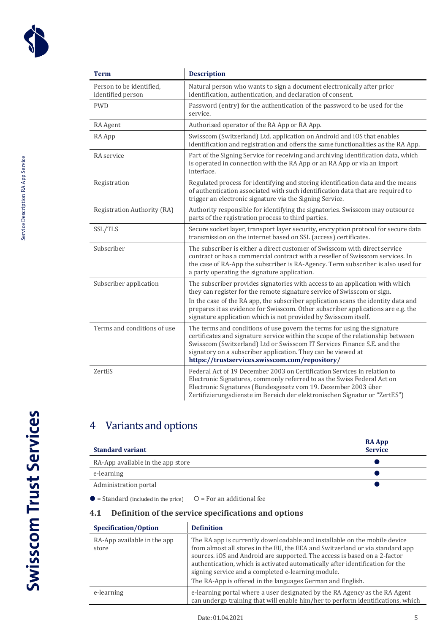

| <b>Term</b>                                   | <b>Description</b>                                                                                                                                                                                                                                                                                                                                                                                  |
|-----------------------------------------------|-----------------------------------------------------------------------------------------------------------------------------------------------------------------------------------------------------------------------------------------------------------------------------------------------------------------------------------------------------------------------------------------------------|
| Person to be identified,<br>identified person | Natural person who wants to sign a document electronically after prior<br>identification, authentication, and declaration of consent.                                                                                                                                                                                                                                                               |
| <b>PWD</b>                                    | Password (entry) for the authentication of the password to be used for the<br>service.                                                                                                                                                                                                                                                                                                              |
| RA Agent                                      | Authorised operator of the RA App or RA App.                                                                                                                                                                                                                                                                                                                                                        |
| RA App                                        | Swisscom (Switzerland) Ltd. application on Android and iOS that enables<br>identification and registration and offers the same functionalities as the RA App.                                                                                                                                                                                                                                       |
| RA service                                    | Part of the Signing Service for receiving and archiving identification data, which<br>is operated in connection with the RA App or an RA App or via an import<br>interface.                                                                                                                                                                                                                         |
| Registration                                  | Regulated process for identifying and storing identification data and the means<br>of authentication associated with such identification data that are required to<br>trigger an electronic signature via the Signing Service.                                                                                                                                                                      |
| Registration Authority (RA)                   | Authority responsible for identifying the signatories. Swisscom may outsource<br>parts of the registration process to third parties.                                                                                                                                                                                                                                                                |
| SSL/TLS                                       | Secure socket layer, transport layer security, encryption protocol for secure data<br>transmission on the internet based on SSL (access) certificates.                                                                                                                                                                                                                                              |
| Subscriber                                    | The subscriber is either a direct customer of Swisscom with direct service<br>contract or has a commercial contract with a reseller of Swisscom services. In<br>the case of RA-App the subscriber is RA-Agency. Term subscriber is also used for<br>a party operating the signature application.                                                                                                    |
| Subscriber application                        | The subscriber provides signatories with access to an application with which<br>they can register for the remote signature service of Swisscom or sign.<br>In the case of the RA app, the subscriber application scans the identity data and<br>prepares it as evidence for Swisscom. Other subscriber applications are e.g. the<br>signature application which is not provided by Swisscom itself. |
| Terms and conditions of use                   | The terms and conditions of use govern the terms for using the signature<br>certificates and signature service within the scope of the relationship between<br>Swisscom (Switzerland) Ltd or Swisscom IT Services Finance S.E. and the<br>signatory on a subscriber application. They can be viewed at<br>https://trustservices.swisscom.com/repository/                                            |
| ZertES                                        | Federal Act of 19 December 2003 on Certification Services in relation to<br>Electronic Signatures, commonly referred to as the Swiss Federal Act on<br>Electronic Signatures (Bundesgesetz vom 19. Dezember 2003 über<br>Zertifizierungsdienste im Bereich der elektronischen Signatur or "ZertES")                                                                                                 |

# <span id="page-4-0"></span>4 Variants and options

| <b>Standard variant</b>           | <b>RA App</b><br><b>Service</b> |
|-----------------------------------|---------------------------------|
| RA-App available in the app store |                                 |
| e-learning                        |                                 |
| Administration portal             |                                 |

 $\bullet$  = Standard (included in the price)  $\quad$   $\circ$  = For an additional fee

#### <span id="page-4-1"></span>**4.1 Definition of the service specifications and options**

| Specification/Option                 | <b>Definition</b>                                                                                                                                                                                                                                                                                                                                                                                                                            |
|--------------------------------------|----------------------------------------------------------------------------------------------------------------------------------------------------------------------------------------------------------------------------------------------------------------------------------------------------------------------------------------------------------------------------------------------------------------------------------------------|
| RA-App available in the app<br>store | The RA app is currently downloadable and installable on the mobile device<br>from almost all stores in the EU, the EEA and Switzerland or via standard app<br>sources. iOS and Android are supported. The access is based on a 2-factor<br>authentication, which is activated automatically after identification for the<br>signing service and a completed e-learning module.<br>The RA-App is offered in the languages German and English. |
| e-learning                           | e-learning portal where a user designated by the RA Agency as the RA Agent<br>can undergo training that will enable him/her to perform identifications, which                                                                                                                                                                                                                                                                                |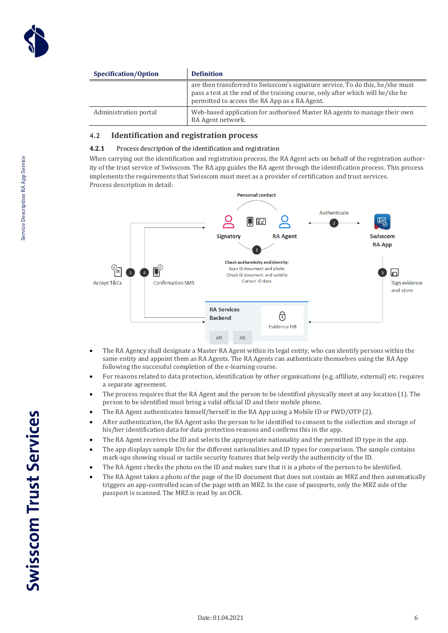

| Specification/Option  | <b>Definition</b>                                                                                                                                                                                                |  |  |
|-----------------------|------------------------------------------------------------------------------------------------------------------------------------------------------------------------------------------------------------------|--|--|
|                       | are then transferred to Swisscom's signature service. To do this, he/she must<br>pass a test at the end of the training course, only after which will he/she be<br>permitted to access the RA App as a RA Agent. |  |  |
| Administration portal | Web-based application for authorised Master RA agents to manage their own<br>RA Agent network.                                                                                                                   |  |  |

#### <span id="page-5-0"></span>**4.2 Identification and registration process**

#### <span id="page-5-1"></span>**4.2.1** Process description of the identification and registration

When carrying out the identification and registration process, the RA Agent acts on behalf of the registration authority of the trust service of Swisscom. The RA app guides the RA agent through the identification process. This process implements the requirements that Swisscom must meet as a provider of certification and trust services. Process description in detail:



- The RA Agency shall designate a Master RA Agent within its legal entity, who can identify persons within the same entity and appoint them as RA Agents. The RA Agents can authenticate themselves using the RA App following the successful completion of the e-learning course.
- For reasons related to data protection, identification by other organisations (e.g. affiliate, external) etc. requires a separate agreement.
- The process requires that the RA Agent and the person to be identified physically meet at any location (1). The person to be identified must bring a valid official ID and their mobile phone.
- The RA Agent authenticates himself/herself in the RA App using a Mobile ID or PWD/OTP (2).
- After authentication, the RA Agent asks the person to be identified to consent to the collection and storage of his/her identification data for data protection reasons and confirms this in the app.
- The RA Agent receives the ID and selects the appropriate nationality and the permitted ID type in the app.
- The app displays sample IDs for the different nationalities and ID types for comparison. The sample contains mark-ups showing visual or tactile security features that help verify the authenticity of the ID.
- The RA Agent checks the photo on the ID and makes sure that it is a photo of the person to be identified.
- The RA Agent takes a photo of the page of the ID document that does not contain an MRZ and then automatically triggers an app-controlled scan of the page with an MRZ. In the case of passports, only the MRZ side of the passport is scanned. The MRZ is read by an OCR.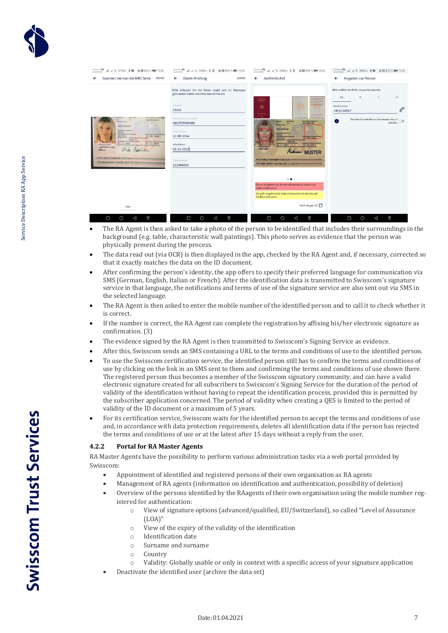

| Swisscom <sup>ESD</sup><br><b>4 4 系 377B/s 5 画 ※図 ※96 % ■ 10:53</b><br><b>MA INFANCIA</b>                                                                                                                                                                                                                                                                                                                       | Swisscom                                                                                                                                                                                                                                                        |                                                                                                                                                                                                                                                                                                                                                                        | Swisscom CSD<br>o2-de-WLAN<br>△ △ 宋 400B/s S 图 卷图 \$96% ■■ 10:54                                                                                                                                        |
|-----------------------------------------------------------------------------------------------------------------------------------------------------------------------------------------------------------------------------------------------------------------------------------------------------------------------------------------------------------------------------------------------------------------|-----------------------------------------------------------------------------------------------------------------------------------------------------------------------------------------------------------------------------------------------------------------|------------------------------------------------------------------------------------------------------------------------------------------------------------------------------------------------------------------------------------------------------------------------------------------------------------------------------------------------------------------------|---------------------------------------------------------------------------------------------------------------------------------------------------------------------------------------------------------|
| Scannen Sie nun die MRZ Seite WEITER<br>$\leftarrow$                                                                                                                                                                                                                                                                                                                                                            | Daten-Prüfung<br>$\leftarrow$<br>WEITER                                                                                                                                                                                                                         | Authentizität<br>$\leftarrow$                                                                                                                                                                                                                                                                                                                                          | Angaben zur Person<br>$\leftarrow$                                                                                                                                                                      |
| <b>This N. Person At Package 46.57</b><br>122066666<br><b>NUSTERMANN</b><br><b>ERIKA</b><br>I thereon has a section in work<br>DEUTSCH<br>12.08.1964<br><b>BERLIN</b><br>seather a sense<br><b>Why series d'autre trac d'au</b><br>02.11.2005<br>01, 11, 2015<br><b>I best rack and considered</b><br>LANDESHUPTSTADT<br>$G_{1}$ la<br><b>HACHIN</b><br>MARTIN<br>PCDCCMUSTERMANNCCERIKACCCCCCCCCCCCCCCCCCCCCCC | Bitte erfassen Sie die Daten exakt wie im Reisepass<br>(gescannte Daten weichen manchmal ab)<br>Vorname<br><b>ERIKA</b><br>Familienname, Nachname<br><b>MUSTERMANN</b><br>Geburtsdatum<br>12-08-1964<br>Ablaufdatum<br>01-11-2022<br>Seriennummern<br>122066666 | سننبذ<br>田<br>owner<br>w<br><b>Service</b><br><b><i><u>DIRECTORY COMPANY</u></i></b><br><b>San Di Parametrio Patricio II</b><br>C01X0012K<br>$L_{\rm max}$<br>$\alpha$<br><b>HUSTERHANN</b><br>ERIKA<br>13.08.1944<br><b>OEUTSCH</b><br><b>DERLEN</b><br>01.11.2007<br>31.10.2017<br>STADT KÖLN<br><b>Museum MUSTER</b><br>CO1X0012K9D<<6408125F1710319<<<<<<<<<<<<<<< | Bitte wählen Sie die Korrespondenzsprache<br>DE<br>EN<br><b>FR</b><br>$\mathbb{E}$<br>Handynummer<br>$\mathscr{C}$<br>+491234567<br>Die identifizierte Person hat meinen Anruf<br>$\bullet$<br>erhalten |
| Neu                                                                                                                                                                                                                                                                                                                                                                                                             |                                                                                                                                                                                                                                                                 | $\bullet$<br>Die rot eingekreisten Sicherheitsmerkmale deuten auf<br>optische Elemente.<br>Die gelb eingekreisten Sicherheitsmerkmale deuten auf<br>fühlbare Elemente.<br>Echtheit geprüft                                                                                                                                                                             |                                                                                                                                                                                                         |
| €l<br>O<br>◁<br>$\circ$                                                                                                                                                                                                                                                                                                                                                                                         | $\triangle$<br>$\circ$<br>O                                                                                                                                                                                                                                     | €I<br>$\Box$<br>$\circ$<br>$\triangleleft$                                                                                                                                                                                                                                                                                                                             | $\triangle$<br>€<br>$\circ$<br>Ó                                                                                                                                                                        |

- The RA Agent is then asked to take a photo of the person to be identified that includes their surroundings in the background (e.g. table, characteristic wall paintings). This photo serves as evidence that the person was physically present during the process.
- The data read out (via OCR) is then displayed in the app, checked by the RA Agent and, if necessary, corrected so that it exactly matches the data on the ID document.
- After confirming the person's identity, the app offers to specify their preferred language for communication via SMS (German, English, Italian or French). After the identification data is transmitted to Swisscom's signature service in that language, the notifications and terms of use of the signature service are also sent out via SMS in the selected language.
- The RA Agent is then asked to enter the mobile number of the identified person and to call it to check whether it is correct.
- If the number is correct, the RA Agent can complete the registration by affixing his/her electronic signature as confirmation. (3)
- The evidence signed by the RA Agent is then transmitted to Swisscom's Signing Service as evidence.
- After this, Swisscom sends an SMS containing a URL to the terms and conditions of use to the identified person.
- To use the Swisscom certification service, the identified person still has to confirm the terms and conditions of use by clicking on the link in an SMS sent to them and confirming the terms and conditions of use shown there. The registered person thus becomes a member of the Swisscom signatory community, and can have a valid electronic signature created for all subscribers to Swisscom's Signing Service for the duration of the period of validity of the identification without having to repeat the identification process, provided this is permitted by the subscriber application concerned. The period of validity when creating a QES is limited to the period of validity of the ID document or a maximum of 5 years.
- For its certification service, Swisscom waits for the identified person to accept the terms and conditions of use and, in accordance with data protection requirements, deletes all identification data if the person has rejected the terms and conditions of use or at the latest after 15 days without a reply from the user.

#### <span id="page-6-0"></span>**4.2.2 Portal for RA Master Agents**

RA Master Agents have the possibility to perform various administration tasks via a web portal provided by Swisscom:

- Appointment of identified and registered persons of their own organisation as RA agents
- Management of RA agents (information on identification and authentication, possibility of deletion)
- Overview of the persons identified by the RAagents of their own organisation using the mobile number registered for authentication:
	- o View of signature options (advanced/qualified, EU/Switzerland), so called "Level of Assurance  $(LOA)$ "
	- o View of the expiry of the validity of the identification
	- o Identification date
	- o Surname and surname
	- o Country
	- o Validity: Globally usable or only in context with a specific access of your signature application
- Deactivate the identified user (archive the data set)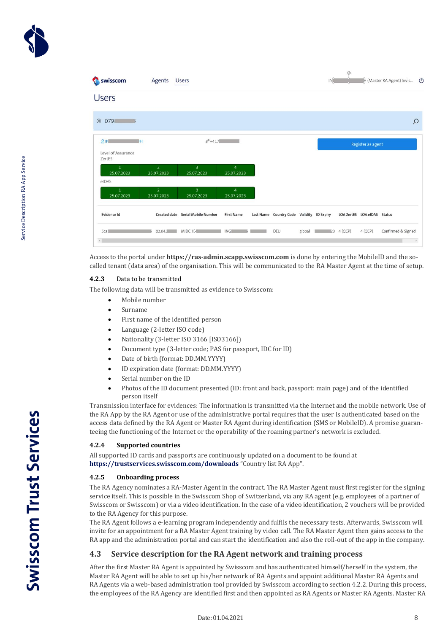

| swisscom                           | Agents                       | <b>Users</b>                      |                              |                                           |        | IN <sup>2</sup> | ∾                           |                   | H (Master RA Agent) Swis ( |          |
|------------------------------------|------------------------------|-----------------------------------|------------------------------|-------------------------------------------|--------|-----------------|-----------------------------|-------------------|----------------------------|----------|
| <b>Users</b>                       |                              |                                   |                              |                                           |        |                 |                             |                   |                            |          |
| 0798<br>$\circledcirc$             |                              |                                   |                              |                                           |        |                 |                             |                   |                            | $\Omega$ |
| 8N<br>Level of Assurance<br>ZertES | DH                           | $C + 417$                         |                              |                                           |        |                 |                             | Register as agent |                            |          |
| 1<br>25.07.2023<br>eIDAS           | $\overline{2}$<br>25.07.2023 | $\overline{3}$<br>25.07.2023      | $\overline{4}$<br>25.07.2023 |                                           |        |                 |                             |                   |                            |          |
| $\mathbf{1}$<br>25.07.2023         | $\overline{2}$<br>25.07.2023 | $\overline{3}$<br>25.07.2023      | $\overline{4}$<br>25.07.2023 |                                           |        |                 |                             |                   |                            |          |
| Evidence Id                        |                              | Created date Serial Mobile Number | <b>First Name</b>            | Last Name Country Code Validity ID Expiry |        |                 | LOA ZertES LOA eIDAS Status |                   |                            |          |
| 5ca3<br>$\epsilon$                 | 02.04.1                      | MIDCHE4                           | <b>ING</b>                   | DEU                                       | global | 23              | 4 (QCP)                     | 4 (QCP)           | Confirmed & Signed         | $\,$     |

Access to the portal under **https://ras-admin.scapp.swisscom.com** is done by entering the MobileID and the socalled tenant (data area) of the organisation. This will be communicated to the RA Master Agent at the time of setup.

#### <span id="page-7-0"></span>**4.2.3** Data to be transmitted

The following data will be transmitted as evidence to Swisscom:

- Mobile number
- Surname
- First name of the identified person
- Language (2-letter ISO code)
- Nationality (3-letter ISO 3166 [ISO3166])
- Document type (3-letter code; PAS for passport, IDC for ID)
- Date of birth (format: DD.MM.YYYY)
- ID expiration date (format: DD.MM.YYYY)
- Serial number on the ID
- Photos of the ID document presented (ID: front and back, passport: main page) and of the identified person itself

Transmission interface for evidences: The information is transmitted via the Internet and the mobile network. Use of the RA App by the RA Agent or use of the administrative portal requires that the user is authenticated based on the access data defined by the RA Agent or Master RA Agent during identification (SMS or MobileID). A promise guaranteeing the functioning of the Internet or the operability of the roaming partner's network is excluded.

#### <span id="page-7-1"></span>**4.2.4 Supported countries**

All supported ID cards and passports are continuously updated on a document to be found at **<https://trustservices.swisscom.com/downloads>** "Country list RA App".

#### <span id="page-7-2"></span>**4.2.5 Onboarding process**

The RA Agency nominates a RA-Master Agent in the contract. The RA Master Agent must first register for the signing service itself. This is possible in the Swisscom Shop of Switzerland, via any RA agent (e.g. employees of a partner of Swisscom or Swisscom) or via a video identification. In the case of a video identification, 2 vouchers will be provided to the RA Agency for this purpose.

The RA Agent follows a e-learning program independently and fulfils the necessary tests. Afterwards, Swisscom will invite for an appointment for a RA Master Agent training by video call. The RA Master Agent then gains access to the RA app and the administration portal and can start the identification and also the roll-out of the app in the company.

#### <span id="page-7-3"></span>**4.3 Service description for the RA Agent network and training process**

After the first Master RA Agent is appointed by Swisscom and has authenticated himself/herself in the system, the Master RA Agent will be able to set up his/her network of RA Agents and appoint additional Master RA Agents and RA Agents via a web-based administration tool provided by Swisscom according to section 4.2.2. During this process, the employees of the RA Agency are identified first and then appointed as RA Agents or Master RA Agents. Master RA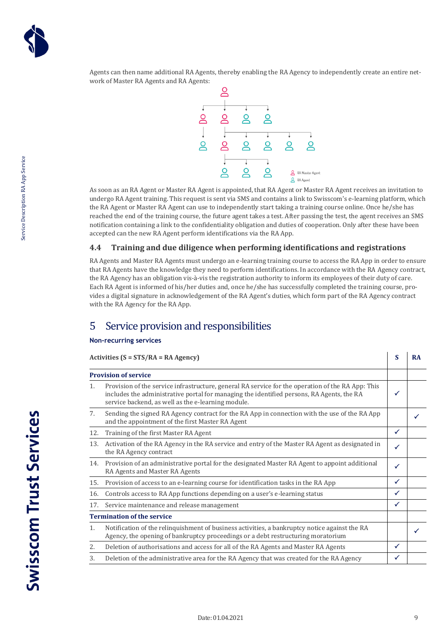

Agents can then name additional RA Agents, thereby enabling the RA Agency to independently create an entire network of Master RA Agents and RA Agents:



As soon as an RA Agent or Master RA Agent is appointed, that RA Agent or Master RA Agent receives an invitation to undergo RA Agent training. This request is sent via SMS and contains a link to Swisscom's e-learning platform, which the RA Agent or Master RA Agent can use to independently start taking a training course online. Once he/she has reached the end of the training course, the future agent takes a test. After passing the test, the agent receives an SMS notification containing a link to the confidentiality obligation and duties of cooperation. Only after these have been accepted can the new RA Agent perform identifications via the RA App.

#### <span id="page-8-0"></span>**4.4 Training and due diligence when performing identifications and registrations**

RA Agents and Master RA Agents must undergo an e-learning training course to access the RA App in order to ensure that RA Agents have the knowledge they need to perform identifications. In accordance with the RA Agency contract, the RA Agency has an obligation vis-à-vis the registration authority to inform its employees of their duty of care. Each RA Agent is informed of his/her duties and, once he/she has successfully completed the training course, provides a digital signature in acknowledgement of the RA Agent's duties, which form part of the RA Agency contract with the RA Agency for the RA App.

### <span id="page-8-1"></span>5 Service provision and responsibilities

#### **Non-recurring services**

#### **Activities (S = STS/RA = RA Agency) S RA Provision of service** 1. Provision of the service infrastructure, general RA service for the operation of the RA App: This includes the administrative portal for managing the identified persons, RA Agents, the RA service backend, as well as the e-learning module.  $\checkmark$ 7. Sending the signed RA Agency contract for the RA App in connection with the use of the RA App and the appointment of the first Master RA Agent 12. Training of the first Master RA Agent 13. Activation of the RA Agency in the RA service and entry of the Master RA Agent as designated in the RA Agency contract  $\checkmark$ 14. Provision of an administrative portal for the designated Master RA Agent to appoint additional RA Agents and Master RA Agents  $\checkmark$ 15. Provision of access to an e-learning course for identification tasks in the RA App 16. Controls access to RA App functions depending on a user's e-learning status  $\checkmark$ 17. Service maintenance and release management **Termination of the service** 1. Notification of the relinquishment of business activities, a bankruptcy notice against the RA Agency, the opening of bankruptcy proceedings or a debt restructuring moratorium 2. Deletion of authorisations and access for all of the RA Agents and Master RA Agents

3. Deletion of the administrative area for the RA Agency that was created for the RA Agency  $\vert \checkmark$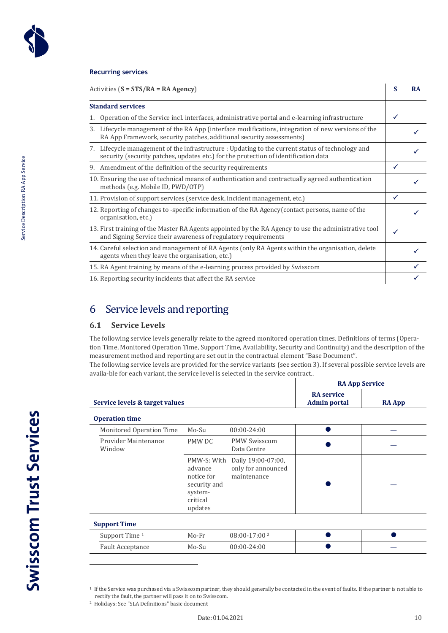

Service Description RA App Service

Service Description RA App Service

#### **Recurring services**

| Activities $(S = STS/RA = RA Agency)$<br><b>Standard services</b><br>Operation of the Service incl. interfaces, administrative portal and e-learning infrastructure<br>Lifecycle management of the RA App (interface modifications, integration of new versions of the<br>3.<br>RA App Framework, security patches, additional security assessments)<br>Lifecycle management of the infrastructure : Updating to the current status of technology and<br>7.<br>security (security patches, updates etc.) for the protection of identification data<br>9. Amendment of the definition of the security requirements<br>10. Ensuring the use of technical means of authentication and contractually agreed authentication<br>methods (e.g. Mobile ID, PWD/OTP)<br>11. Provision of support services (service desk, incident management, etc.)<br>12. Reporting of changes to -specific information of the RA Agency (contact persons, name of the | S            | <b>RA</b> |  |
|------------------------------------------------------------------------------------------------------------------------------------------------------------------------------------------------------------------------------------------------------------------------------------------------------------------------------------------------------------------------------------------------------------------------------------------------------------------------------------------------------------------------------------------------------------------------------------------------------------------------------------------------------------------------------------------------------------------------------------------------------------------------------------------------------------------------------------------------------------------------------------------------------------------------------------------------|--------------|-----------|--|
|                                                                                                                                                                                                                                                                                                                                                                                                                                                                                                                                                                                                                                                                                                                                                                                                                                                                                                                                                |              |           |  |
|                                                                                                                                                                                                                                                                                                                                                                                                                                                                                                                                                                                                                                                                                                                                                                                                                                                                                                                                                | ✓            |           |  |
|                                                                                                                                                                                                                                                                                                                                                                                                                                                                                                                                                                                                                                                                                                                                                                                                                                                                                                                                                |              |           |  |
|                                                                                                                                                                                                                                                                                                                                                                                                                                                                                                                                                                                                                                                                                                                                                                                                                                                                                                                                                |              |           |  |
|                                                                                                                                                                                                                                                                                                                                                                                                                                                                                                                                                                                                                                                                                                                                                                                                                                                                                                                                                | ✓            |           |  |
|                                                                                                                                                                                                                                                                                                                                                                                                                                                                                                                                                                                                                                                                                                                                                                                                                                                                                                                                                |              |           |  |
|                                                                                                                                                                                                                                                                                                                                                                                                                                                                                                                                                                                                                                                                                                                                                                                                                                                                                                                                                | $\checkmark$ |           |  |
| organisation, etc.)                                                                                                                                                                                                                                                                                                                                                                                                                                                                                                                                                                                                                                                                                                                                                                                                                                                                                                                            |              |           |  |
| 13. First training of the Master RA Agents appointed by the RA Agency to use the administrative tool<br>and Signing Service their awareness of regulatory requirements                                                                                                                                                                                                                                                                                                                                                                                                                                                                                                                                                                                                                                                                                                                                                                         | ✓            |           |  |
| 14. Careful selection and management of RA Agents (only RA Agents within the organisation, delete<br>agents when they leave the organisation, etc.)                                                                                                                                                                                                                                                                                                                                                                                                                                                                                                                                                                                                                                                                                                                                                                                            |              |           |  |
| 15. RA Agent training by means of the e-learning process provided by Swisscom                                                                                                                                                                                                                                                                                                                                                                                                                                                                                                                                                                                                                                                                                                                                                                                                                                                                  |              |           |  |
| 16. Reporting security incidents that affect the RA service                                                                                                                                                                                                                                                                                                                                                                                                                                                                                                                                                                                                                                                                                                                                                                                                                                                                                    |              |           |  |

# <span id="page-9-0"></span>6 Service levels and reporting

#### <span id="page-9-1"></span>**6.1 Service Levels**

The following service levels generally relate to the agreed monitored operation times. Definitions of terms (Operation Time, Monitored Operation Time, Support Time, Availability, Security and Continuity) and the description of the measurement method and reporting are set out in the contractual element "Base Document".

The following service levels are provided for the service variants (see section 3). If several possible service levels are availa-ble for each variant, the service level is selected in the service contract..

|                                |                                                                                        | <b>RA App Service</b>                                   |  |  |
|--------------------------------|----------------------------------------------------------------------------------------|---------------------------------------------------------|--|--|
| Service levels & target values | <b>RA</b> service<br><b>Admin portal</b>                                               | <b>RA App</b>                                           |  |  |
| <b>Operation time</b>          |                                                                                        |                                                         |  |  |
| Monitored Operation Time       | Mo-Su                                                                                  | $00:00 - 24:00$                                         |  |  |
| Provider Maintenance<br>Window | PMW DC                                                                                 | <b>PMW Swisscom</b><br>Data Centre                      |  |  |
|                                | PMW-S: With<br>advance<br>notice for<br>security and<br>system-<br>critical<br>updates | Daily 19:00-07:00,<br>only for announced<br>maintenance |  |  |
| <b>Support Time</b>            |                                                                                        |                                                         |  |  |
| Support Time 1                 | $Mo-Fr$                                                                                | 08:00-17:00 <sup>2</sup>                                |  |  |
| <b>Fault Acceptance</b>        | Mo-Su                                                                                  | $00:00 - 24:00$                                         |  |  |

<sup>&</sup>lt;sup>1</sup> If the Service was purchased via a Swisscom partner, they should generally be contacted in the event of faults. If the partner is not able to rectify the fault, the partner will pass it on to Swisscom.

<sup>2</sup> Holidays: See "SLA Definitions" basic document